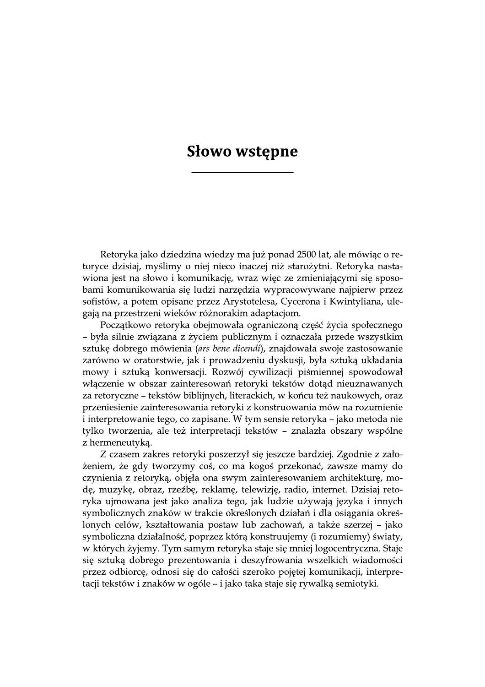## **Słowo wstępne**

Retoryka jako dziedzina wiedzy ma już ponad 2500 lat, ale mówiąc o retoryce dzisiaj, myślimy o niej nieco inaczej niż starożytni. Retoryka nastawiona jest na słowo i komunikację, wraz więc ze zmieniającymi się sposobami komunikowania się ludzi narzędzia wypracowywane najpierw przez sofistów, a potem opisane przez Arystotelesa, Cycerona i Kwintyliana, ulegają na przestrzeni wieków różnorakim adaptacjom.

Początkowo retoryka obejmowała ograniczoną część życia społecznego – była silnie związana z życiem publicznym i oznaczała przede wszystkim sztukę dobrego mówienia (ars bene dicendi), znajdowała swoje zastosowanie zarówno w oratorstwie, jak i prowadzeniu dyskusji, była sztuką układania mowy i sztuką konwersacji. Rozwój cywilizacji piśmiennej spowodował włączenie w obszar zainteresowań retoryki tekstów dotąd nieuznawanych za retoryczne – tekstów biblijnych, literackich, w końcu też naukowych, oraz przeniesienie zainteresowania retoryki z konstruowania mów na rozumienie i interpretowanie tego, co zapisane. W tym sensie retoryka – jako metoda nie tylko tworzenia, ale też interpretacji tekstów – znalazła obszary wspólne z hermeneutyką.

Z czasem zakres retoryki poszerzył się jeszcze bardziej. Zgodnie z założeniem, że gdy tworzymy coś, co ma kogoś przekonać, zawsze mamy do czynienia z retoryka, objeła ona swym zainteresowaniem architekture, mode, muzykę, obraz, rzeźbę, reklamę, telewizję, radio, internet. Dzisiaj retoryka ujmowana jest jako analiza tego, jak ludzie używają języka i innych symbolicznych znaków w trakcie określonych działań i dla osiągania określonych celów, kształtowania postaw lub zachowań, a także szerzej – jako symboliczna działalność, poprzez którą konstruujemy (i rozumiemy) światy, w których żyjemy. Tym samym retoryka staje się mniej logocentryczna. Staje się sztuką dobrego prezentowania i deszyfrowania wszelkich wiadomości przez odbiorcę, odnosi się do całości szeroko pojętej komunikacji, interpretacji tekstów i znaków w ogóle – i jako taka staje się rywalką semiotyki.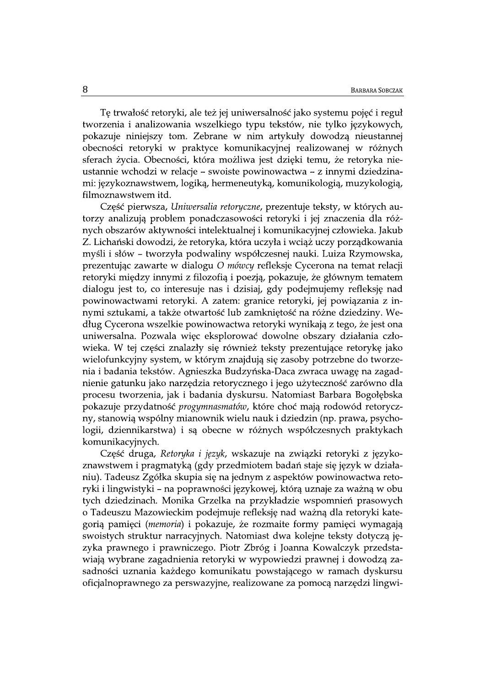Tę trwałość retoryki, ale też jej uniwersalność jako systemu pojęć i reguł tworzenia i analizowania wszelkiego typu tekstów, nie tylko językowych, pokazuje niniejszy tom. Zebrane w nim artykuły dowodzą nieustannej obecności retoryki w praktyce komunikacyjnej realizowanej w różnych sferach życia. Obecności, która możliwa jest dzięki temu, że retoryka nieustannie wchodzi w relacje - swoiste powinowactwa - z innymi dziedzinami: językoznawstwem, logiką, hermeneutyką, komunikologią, muzykologią, filmoznawstwem itd.

Część pierwsza, Uniwersalia retoryczne, prezentuje teksty, w których autorzy analizują problem ponadczasowości retoryki i jej znaczenia dla różnych obszarów aktywności intelektualnej i komunikacyjnej człowieka. Jakub Z. Lichański dowodzi, że retoryka, która uczyła i wciąż uczy porządkowania myśli i słów - tworzyła podwaliny współczesnej nauki. Luiza Rzymowska, prezentując zawarte w dialogu O mówcy refleksje Cycerona na temat relacji retoryki między innymi z filozofią i poezją, pokazuje, że głównym tematem dialogu jest to, co interesuje nas i dzisiaj, gdy podejmujemy refleksję nad powinowactwami retoryki. A zatem: granice retoryki, jej powiązania z innymi sztukami, a także otwartość lub zamkniętość na różne dziedziny. Według Cycerona wszelkie powinowactwa retoryki wynikają z tego, że jest ona uniwersalna. Pozwala więc eksplorować dowolne obszary działania człowieka. W tej części znalazły się również teksty prezentujące retorykę jako wielofunkcyjny system, w którym znajdują się zasoby potrzebne do tworzenia i badania tekstów. Agnieszka Budzyńska-Daca zwraca uwagę na zagadnienie gatunku jako narzędzia retorycznego i jego użyteczność zarówno dla procesu tworzenia, jak i badania dyskursu. Natomiast Barbara Bogołębska pokazuje przydatność progymnasmatów, które choć mają rodowód retoryczny, stanowią wspólny mianownik wielu nauk i dziedzin (np. prawa, psychologii, dziennikarstwa) i są obecne w różnych współczesnych praktykach komunikacyjnych.

Część druga, Retoryka i język, wskazuje na związki retoryki z językoznawstwem i pragmatyką (gdy przedmiotem badań staje się język w działaniu). Tadeusz Zgółka skupia się na jednym z aspektów powinowactwa retoryki i lingwistyki – na poprawności językowej, którą uznaje za ważną w obu tych dziedzinach. Monika Grzelka na przykładzie wspomnień prasowych o Tadeuszu Mazowieckim podejmuje refleksję nad ważną dla retoryki kategoria pamieci (*memoria*) i pokazuje, że rozmaite formy pamieci wymagają swoistych struktur narracyjnych. Natomiast dwa kolejne teksty dotyczą języka prawnego i prawniczego. Piotr Zbróg i Joanna Kowalczyk przedstawiają wybrane zagadnienia retoryki w wypowiedzi prawnej i dowodzą zasadności uznania każdego komunikatu powstającego w ramach dyskursu oficjalnoprawnego za perswazyjne, realizowane za pomocą narzędzi lingwi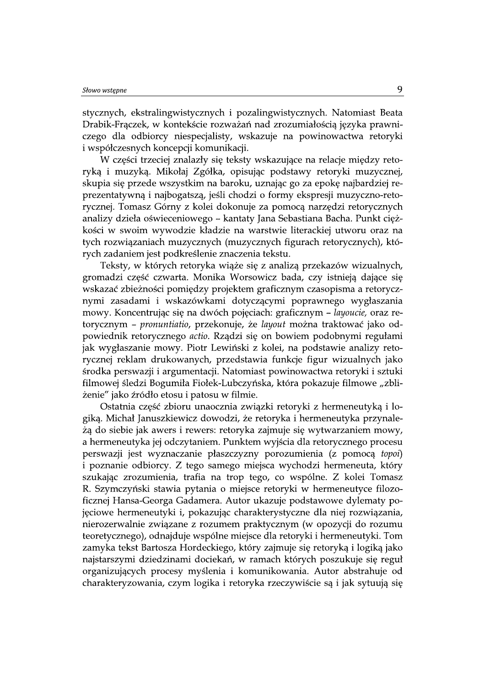stycznych, ekstralingwistycznych i pozalingwistycznych. Natomiast Beata Drabik-Fraczek, w kontekście rozważań nad zrozumiałością języka prawniczego dla odbiorcy niespecjalisty, wskazuje na powinowactwa retoryki i współczesnych koncepcji komunikacji.

W części trzeciej znalazły się teksty wskazujące na relacje między retoryką i muzyką. Mikołaj Zgółka, opisując podstawy retoryki muzycznej, skupia się przede wszystkim na baroku, uznając go za epokę najbardziej reprezentatywną i najbogatszą, jeśli chodzi o formy ekspresji muzyczno-retorycznej. Tomasz Górny z kolei dokonuje za pomocą narzędzi retorycznych analizy dzieła oświeceniowego - kantaty Jana Sebastiana Bacha. Punkt ciężkości w swoim wywodzie kładzie na warstwie literackiej utworu oraz na tych rozwiązaniach muzycznych (muzycznych figurach retorycznych), których zadaniem jest podkreślenie znaczenia tekstu.

Teksty, w których retoryka wiąże się z analizą przekazów wizualnych, gromadzi część czwarta. Monika Worsowicz bada, czy istnieją dające się wskazać zbieżności pomiędzy projektem graficznym czasopisma a retorycznymi zasadami i wskazówkami dotyczącymi poprawnego wygłaszania mowy. Koncentrując się na dwóch pojęciach: graficznym - layoucie, oraz retorycznym – pronuntiatio, przekonuje, że layout można traktować jako odpowiednik retorycznego actio. Rządzi się on bowiem podobnymi regułami jak wygłaszanie mowy. Piotr Lewiński z kolei, na podstawie analizy retorycznej reklam drukowanych, przedstawia funkcje figur wizualnych jako środka perswazji i argumentacji. Natomiast powinowactwa retoryki i sztuki filmowej śledzi Bogumiła Fiołek-Lubczyńska, która pokazuje filmowe "zbliżenie" jako źródło etosu i patosu w filmie.

Ostatnia część zbioru unaocznia związki retoryki z hermeneutyką i logika. Michał Januszkiewicz dowodzi, że retoryka i hermeneutyka przynależą do siebie jak awers i rewers: retoryka zajmuje się wytwarzaniem mowy, a hermeneutyka jej odczytaniem. Punktem wyjścia dla retorycznego procesu perswazji jest wyznaczanie płaszczyzny porozumienia (z pomocą topoi) i poznanie odbiorcy. Z tego samego miejsca wychodzi hermeneuta, który szukając zrozumienia, trafia na trop tego, co wspólne. Z kolei Tomasz R. Szymczyński stawia pytania o miejsce retoryki w hermeneutyce filozoficznej Hansa-Georga Gadamera. Autor ukazuje podstawowe dylematy pojęciowe hermeneutyki i, pokazując charakterystyczne dla niej rozwiązania, nierozerwalnie związane z rozumem praktycznym (w opozycji do rozumu teoretycznego), odnajduje wspólne miejsce dla retoryki i hermeneutyki. Tom zamyka tekst Bartosza Hordeckiego, który zajmuje się retoryką i logiką jako najstarszymi dziedzinami dociekań, w ramach których poszukuje się reguł organizujących procesy myślenia i komunikowania. Autor abstrahuje od charakteryzowania, czym logika i retoryka rzeczywiście są i jak sytuują się